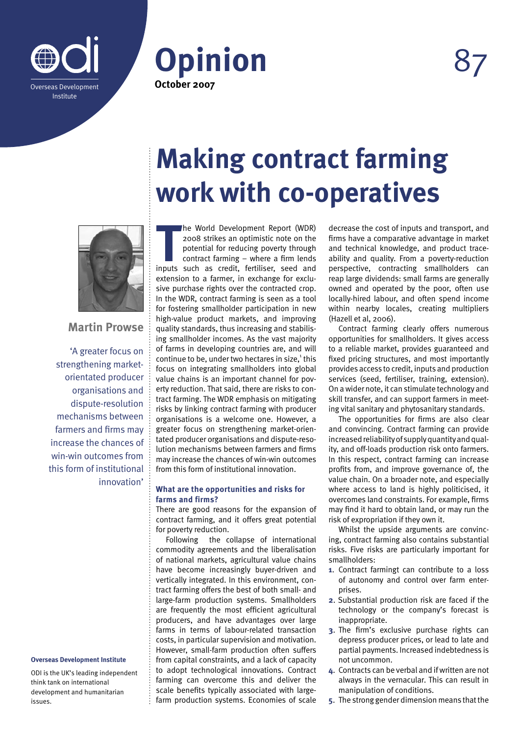





**Martin Prowse**

'A greater focus on strengthening marketorientated producer organisations and dispute-resolution mechanisms between farmers and firms may increase the chances of win-win outcomes from this form of institutional innovation'

## **Overseas Development Institute**

ODI is the UK's leading independent think tank on international development and humanitarian issues.

# **Making contract farming work with co-operatives**

**The World Development Report (WDR)**<br>
2008 strikes an optimistic note on the<br>
potential for reducing poverty through<br>
contract farming – where a firm lends<br>
inputs such as credit, fertiliser, seed and he World Development Report (WDR) 2008 strikes an optimistic note on the potential for reducing poverty through contract farming – where a firm lends extension to a farmer, in exchange for exclusive purchase rights over the contracted crop. In the WDR, contract farming is seen as a tool for fostering smallholder participation in new high-value product markets, and improving quality standards, thus increasing and stabilising smallholder incomes. As the vast majority of farms in developing countries are, and will continue to be, under two hectares in size,<sup>1</sup> this focus on integrating smallholders into global value chains is an important channel for poverty reduction. That said, there are risks to contract farming. The WDR emphasis on mitigating risks by linking contract farming with producer organisations is a welcome one. However, a greater focus on strengthening market-orientated producer organisations and dispute-resolution mechanisms between farmers and firms may increase the chances of win-win outcomes from this form of institutional innovation.

# **What are the opportunities and risks for farms and firms?**

There are good reasons for the expansion of contract farming, and it offers great potential for poverty reduction.

Following the collapse of international commodity agreements and the liberalisation of national markets, agricultural value chains have become increasingly buyer-driven and vertically integrated. In this environment, contract farming offers the best of both small- and large-farm production systems. Smallholders are frequently the most efficient agricultural producers, and have advantages over large farms in terms of labour-related transaction costs, in particular supervision and motivation. However, small-farm production often suffers from capital constraints, and a lack of capacity to adopt technological innovations. Contract farming can overcome this and deliver the scale benefits typically associated with largefarm production systems. Economies of scale decrease the cost of inputs and transport, and firms have a comparative advantage in market and technical knowledge, and product traceability and quality. From a poverty-reduction perspective, contracting smallholders can reap large dividends: small farms are generally owned and operated by the poor, often use locally-hired labour, and often spend income within nearby locales, creating multipliers (Hazell et al, 2006).

Contract farming clearly offers numerous opportunities for smallholders. It gives access to a reliable market, provides guaranteed and fixed pricing structures, and most importantly provides access to credit, inputs and production services (seed, fertiliser, training, extension). On a wider note, it can stimulate technology and skill transfer, and can support farmers in meeting vital sanitary and phytosanitary standards.

The opportunities for firms are also clear and convincing. Contract farming can provide increased reliability of supply quantity and quality, and off-loads production risk onto farmers. In this respect, contract farming can increase profits from, and improve governance of, the value chain. On a broader note, and especially where access to land is highly politicised, it overcomes land constraints. For example, firms may find it hard to obtain land, or may run the risk of expropriation if they own it.

Whilst the upside arguments are convincing, contract farming also contains substantial risks. Five risks are particularly important for smallholders:

- **1**. Contract farmingt can contribute to a loss of autonomy and control over farm enterprises.
- **2**. Substantial production risk are faced if the technology or the company's forecast is inappropriate.
- **3**. The firm's exclusive purchase rights can depress producer prices, or lead to late and partial payments. Increased indebtedness is not uncommon.
- **4**. Contracts can be verbal and if written are not always in the vernacular. This can result in manipulation of conditions.
- **5**. The strong gender dimension means that the